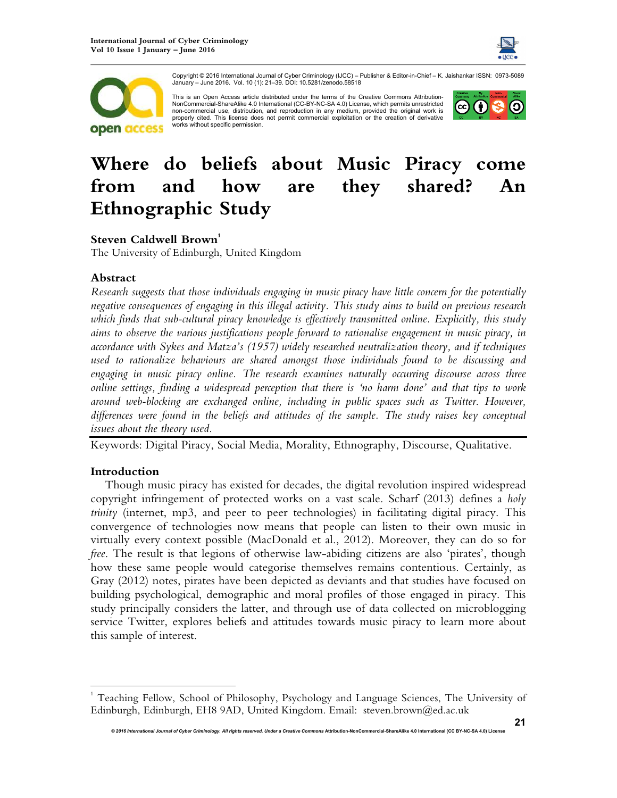



Copyright © 2016 International Journal of Cyber Criminology (IJCC) – Publisher & Editor-in-Chief – K. Jaishankar ISSN: 0973-5089 January – June 2016. Vol. 10 (1): 21–39. DOI: 10.5281/zenodo.58518

This is an Open Access article distributed under the terms of the Creative Commons Attribution-NonCommercial-ShareAlike 4.0 International (CC-BY-NC-SA 4.0) License, which permits unrestricted non-commercial use, distribution, and reproduction in any medium, provided the original work is properly cited. This license does not permit commercial exploitation or the creation of derivative works without specific permission.



# **Where do beliefs about Music Piracy come from and how are they shared? An Ethnographic Study**

## **Steven Caldwell Brown<sup>1</sup>**

The University of Edinburgh, United Kingdom

## **Abstract**

*Research suggests that those individuals engaging in music piracy have little concern for the potentially negative consequences of engaging in this illegal activity. This study aims to build on previous research which finds that sub-cultural piracy knowledge is effectively transmitted online. Explicitly, this study aims to observe the various justifications people forward to rationalise engagement in music piracy, in accordance with Sykes and Matza's (1957) widely researched neutralization theory, and if techniques used to rationalize behaviours are shared amongst those individuals found to be discussing and engaging in music piracy online. The research examines naturally occurring discourse across three online settings, finding a widespread perception that there is 'no harm done' and that tips to work around web-blocking are exchanged online, including in public spaces such as Twitter. However, differences were found in the beliefs and attitudes of the sample. The study raises key conceptual issues about the theory used.* 

Keywords: Digital Piracy, Social Media, Morality, Ethnography, Discourse, Qualitative.

## **Introduction**

 $\overline{a}$ 

Though music piracy has existed for decades, the digital revolution inspired widespread copyright infringement of protected works on a vast scale. Scharf (2013) defines a *holy trinity* (internet, mp3, and peer to peer technologies) in facilitating digital piracy. This convergence of technologies now means that people can listen to their own music in virtually every context possible (MacDonald et al., 2012). Moreover, they can do so for *free*. The result is that legions of otherwise law-abiding citizens are also 'pirates', though how these same people would categorise themselves remains contentious. Certainly, as Gray (2012) notes, pirates have been depicted as deviants and that studies have focused on building psychological, demographic and moral profiles of those engaged in piracy. This study principally considers the latter, and through use of data collected on microblogging service Twitter, explores beliefs and attitudes towards music piracy to learn more about this sample of interest.

<sup>1</sup> Teaching Fellow, School of Philosophy, Psychology and Language Sciences, The University of Edinburgh, Edinburgh, EH8 9AD, United Kingdom. Email: steven.brown@ed.ac.uk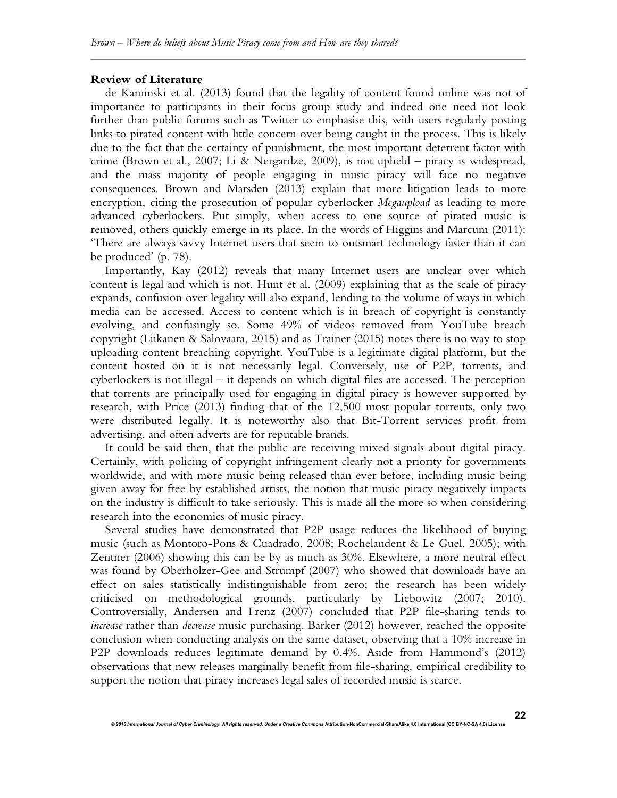#### **Review of Literature**

de Kaminski et al. (2013) found that the legality of content found online was not of importance to participants in their focus group study and indeed one need not look further than public forums such as Twitter to emphasise this, with users regularly posting links to pirated content with little concern over being caught in the process. This is likely due to the fact that the certainty of punishment, the most important deterrent factor with crime (Brown et al., 2007; Li & Nergardze, 2009), is not upheld – piracy is widespread, and the mass majority of people engaging in music piracy will face no negative consequences. Brown and Marsden (2013) explain that more litigation leads to more encryption, citing the prosecution of popular cyberlocker *Megaupload* as leading to more advanced cyberlockers. Put simply, when access to one source of pirated music is removed, others quickly emerge in its place. In the words of Higgins and Marcum (2011): 'There are always savvy Internet users that seem to outsmart technology faster than it can be produced' (p. 78).

Importantly, Kay (2012) reveals that many Internet users are unclear over which content is legal and which is not. Hunt et al. (2009) explaining that as the scale of piracy expands, confusion over legality will also expand, lending to the volume of ways in which media can be accessed. Access to content which is in breach of copyright is constantly evolving, and confusingly so. Some 49% of videos removed from YouTube breach copyright (Liikanen & Salovaara, 2015) and as Trainer (2015) notes there is no way to stop uploading content breaching copyright. YouTube is a legitimate digital platform, but the content hosted on it is not necessarily legal. Conversely, use of P2P, torrents, and cyberlockers is not illegal – it depends on which digital files are accessed. The perception that torrents are principally used for engaging in digital piracy is however supported by research, with Price (2013) finding that of the 12,500 most popular torrents, only two were distributed legally. It is noteworthy also that Bit-Torrent services profit from advertising, and often adverts are for reputable brands.

It could be said then, that the public are receiving mixed signals about digital piracy. Certainly, with policing of copyright infringement clearly not a priority for governments worldwide, and with more music being released than ever before, including music being given away for free by established artists, the notion that music piracy negatively impacts on the industry is difficult to take seriously. This is made all the more so when considering research into the economics of music piracy.

Several studies have demonstrated that P2P usage reduces the likelihood of buying music (such as Montoro-Pons & Cuadrado, 2008; Rochelandent & Le Guel, 2005); with Zentner (2006) showing this can be by as much as 30%. Elsewhere, a more neutral effect was found by Oberholzer-Gee and Strumpf (2007) who showed that downloads have an effect on sales statistically indistinguishable from zero; the research has been widely criticised on methodological grounds, particularly by Liebowitz (2007; 2010). Controversially, Andersen and Frenz (2007) concluded that P2P file-sharing tends to *increase* rather than *decrease* music purchasing. Barker (2012) however, reached the opposite conclusion when conducting analysis on the same dataset, observing that a 10% increase in P2P downloads reduces legitimate demand by 0.4%. Aside from Hammond's (2012) observations that new releases marginally benefit from file-sharing, empirical credibility to support the notion that piracy increases legal sales of recorded music is scarce.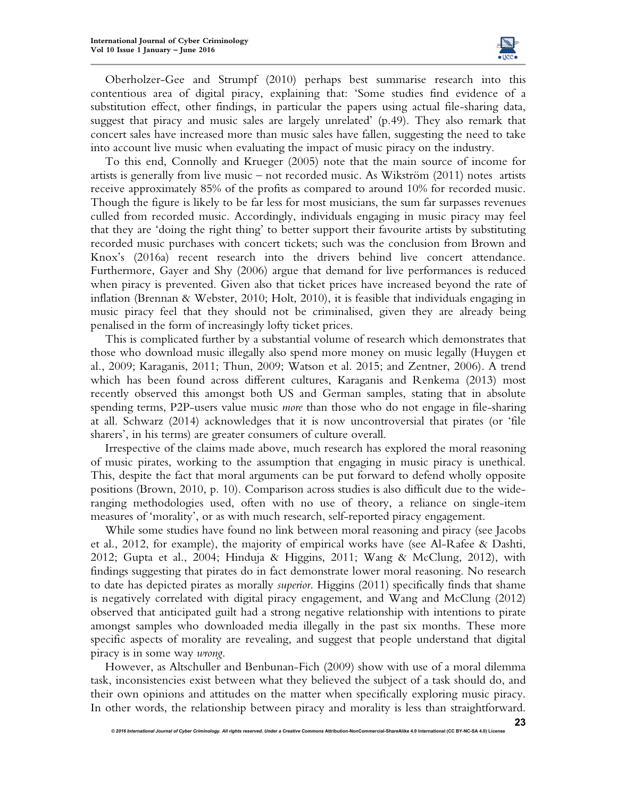

Oberholzer-Gee and Strumpf (2010) perhaps best summarise research into this contentious area of digital piracy, explaining that: 'Some studies find evidence of a substitution effect, other findings, in particular the papers using actual file-sharing data, suggest that piracy and music sales are largely unrelated' (p.49). They also remark that concert sales have increased more than music sales have fallen, suggesting the need to take into account live music when evaluating the impact of music piracy on the industry.

To this end, Connolly and Krueger (2005) note that the main source of income for artists is generally from live music – not recorded music. As Wikström (2011) notes artists receive approximately 85% of the profits as compared to around 10% for recorded music. Though the figure is likely to be far less for most musicians, the sum far surpasses revenues culled from recorded music. Accordingly, individuals engaging in music piracy may feel that they are 'doing the right thing' to better support their favourite artists by substituting recorded music purchases with concert tickets; such was the conclusion from Brown and Knox's (2016a) recent research into the drivers behind live concert attendance. Furthermore, Gayer and Shy (2006) argue that demand for live performances is reduced when piracy is prevented. Given also that ticket prices have increased beyond the rate of inflation (Brennan & Webster, 2010; Holt, 2010), it is feasible that individuals engaging in music piracy feel that they should not be criminalised, given they are already being penalised in the form of increasingly lofty ticket prices.

This is complicated further by a substantial volume of research which demonstrates that those who download music illegally also spend more money on music legally (Huygen et al., 2009; Karaganis, 2011; Thun, 2009; Watson et al. 2015; and Zentner, 2006). A trend which has been found across different cultures, Karaganis and Renkema (2013) most recently observed this amongst both US and German samples, stating that in absolute spending terms, P2P-users value music *more* than those who do not engage in file-sharing at all. Schwarz (2014) acknowledges that it is now uncontroversial that pirates (or 'file sharers', in his terms) are greater consumers of culture overall.

Irrespective of the claims made above, much research has explored the moral reasoning of music pirates, working to the assumption that engaging in music piracy is unethical. This, despite the fact that moral arguments can be put forward to defend wholly opposite positions (Brown, 2010, p. 10). Comparison across studies is also difficult due to the wideranging methodologies used, often with no use of theory, a reliance on single-item measures of 'morality', or as with much research, self-reported piracy engagement.

While some studies have found no link between moral reasoning and piracy (see Jacobs et al., 2012, for example), the majority of empirical works have (see Al-Rafee & Dashti, 2012; Gupta et al., 2004; Hinduja & Higgins, 2011; Wang & McClung, 2012), with findings suggesting that pirates do in fact demonstrate lower moral reasoning. No research to date has depicted pirates as morally *superior*. Higgins (2011) specifically finds that shame is negatively correlated with digital piracy engagement, and Wang and McClung (2012) observed that anticipated guilt had a strong negative relationship with intentions to pirate amongst samples who downloaded media illegally in the past six months. These more specific aspects of morality are revealing, and suggest that people understand that digital piracy is in some way *wrong*.

However, as Altschuller and Benbunan-Fich (2009) show with use of a moral dilemma task, inconsistencies exist between what they believed the subject of a task should do, and their own opinions and attitudes on the matter when specifically exploring music piracy. In other words, the relationship between piracy and morality is less than straightforward.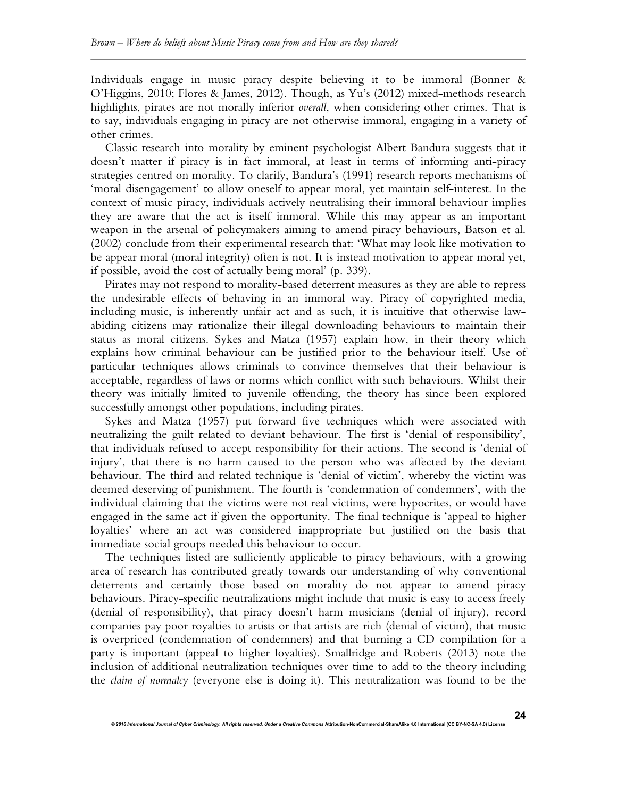Individuals engage in music piracy despite believing it to be immoral (Bonner & O'Higgins, 2010; Flores & James, 2012). Though, as Yu's (2012) mixed-methods research highlights, pirates are not morally inferior *overall*, when considering other crimes. That is to say, individuals engaging in piracy are not otherwise immoral, engaging in a variety of other crimes.

Classic research into morality by eminent psychologist Albert Bandura suggests that it doesn't matter if piracy is in fact immoral, at least in terms of informing anti-piracy strategies centred on morality. To clarify, Bandura's (1991) research reports mechanisms of 'moral disengagement' to allow oneself to appear moral, yet maintain self-interest. In the context of music piracy, individuals actively neutralising their immoral behaviour implies they are aware that the act is itself immoral. While this may appear as an important weapon in the arsenal of policymakers aiming to amend piracy behaviours, Batson et al. (2002) conclude from their experimental research that: 'What may look like motivation to be appear moral (moral integrity) often is not. It is instead motivation to appear moral yet, if possible, avoid the cost of actually being moral' (p. 339).

Pirates may not respond to morality-based deterrent measures as they are able to repress the undesirable effects of behaving in an immoral way. Piracy of copyrighted media, including music, is inherently unfair act and as such, it is intuitive that otherwise lawabiding citizens may rationalize their illegal downloading behaviours to maintain their status as moral citizens. Sykes and Matza (1957) explain how, in their theory which explains how criminal behaviour can be justified prior to the behaviour itself. Use of particular techniques allows criminals to convince themselves that their behaviour is acceptable, regardless of laws or norms which conflict with such behaviours. Whilst their theory was initially limited to juvenile offending, the theory has since been explored successfully amongst other populations, including pirates.

Sykes and Matza (1957) put forward five techniques which were associated with neutralizing the guilt related to deviant behaviour. The first is 'denial of responsibility', that individuals refused to accept responsibility for their actions. The second is 'denial of injury', that there is no harm caused to the person who was affected by the deviant behaviour. The third and related technique is 'denial of victim', whereby the victim was deemed deserving of punishment. The fourth is 'condemnation of condemners', with the individual claiming that the victims were not real victims, were hypocrites, or would have engaged in the same act if given the opportunity. The final technique is 'appeal to higher loyalties' where an act was considered inappropriate but justified on the basis that immediate social groups needed this behaviour to occur.

The techniques listed are sufficiently applicable to piracy behaviours, with a growing area of research has contributed greatly towards our understanding of why conventional deterrents and certainly those based on morality do not appear to amend piracy behaviours. Piracy-specific neutralizations might include that music is easy to access freely (denial of responsibility), that piracy doesn't harm musicians (denial of injury), record companies pay poor royalties to artists or that artists are rich (denial of victim), that music is overpriced (condemnation of condemners) and that burning a CD compilation for a party is important (appeal to higher loyalties). Smallridge and Roberts (2013) note the inclusion of additional neutralization techniques over time to add to the theory including the *claim of normalcy* (everyone else is doing it). This neutralization was found to be the

**24**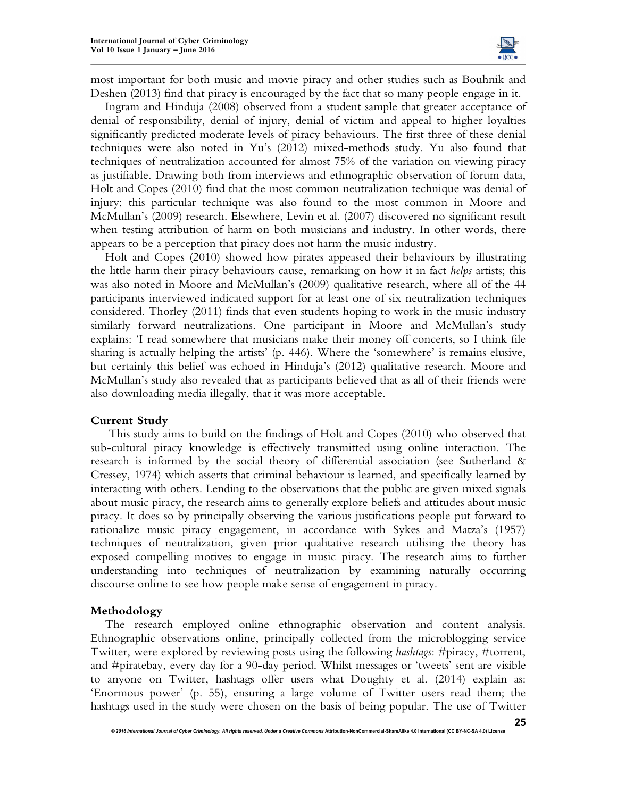

most important for both music and movie piracy and other studies such as Bouhnik and Deshen (2013) find that piracy is encouraged by the fact that so many people engage in it.

Ingram and Hinduja (2008) observed from a student sample that greater acceptance of denial of responsibility, denial of injury, denial of victim and appeal to higher loyalties significantly predicted moderate levels of piracy behaviours. The first three of these denial techniques were also noted in Yu's (2012) mixed-methods study. Yu also found that techniques of neutralization accounted for almost 75% of the variation on viewing piracy as justifiable. Drawing both from interviews and ethnographic observation of forum data, Holt and Copes (2010) find that the most common neutralization technique was denial of injury; this particular technique was also found to the most common in Moore and McMullan's (2009) research. Elsewhere, Levin et al. (2007) discovered no significant result when testing attribution of harm on both musicians and industry. In other words, there appears to be a perception that piracy does not harm the music industry.

Holt and Copes (2010) showed how pirates appeased their behaviours by illustrating the little harm their piracy behaviours cause, remarking on how it in fact *helps* artists; this was also noted in Moore and McMullan's (2009) qualitative research, where all of the 44 participants interviewed indicated support for at least one of six neutralization techniques considered. Thorley (2011) finds that even students hoping to work in the music industry similarly forward neutralizations. One participant in Moore and McMullan's study explains: 'I read somewhere that musicians make their money off concerts, so I think file sharing is actually helping the artists' (p. 446). Where the 'somewhere' is remains elusive, but certainly this belief was echoed in Hinduja's (2012) qualitative research. Moore and McMullan's study also revealed that as participants believed that as all of their friends were also downloading media illegally, that it was more acceptable.

#### **Current Study**

This study aims to build on the findings of Holt and Copes (2010) who observed that sub-cultural piracy knowledge is effectively transmitted using online interaction. The research is informed by the social theory of differential association (see Sutherland & Cressey, 1974) which asserts that criminal behaviour is learned, and specifically learned by interacting with others. Lending to the observations that the public are given mixed signals about music piracy, the research aims to generally explore beliefs and attitudes about music piracy. It does so by principally observing the various justifications people put forward to rationalize music piracy engagement, in accordance with Sykes and Matza's (1957) techniques of neutralization, given prior qualitative research utilising the theory has exposed compelling motives to engage in music piracy. The research aims to further understanding into techniques of neutralization by examining naturally occurring discourse online to see how people make sense of engagement in piracy.

#### **Methodology**

The research employed online ethnographic observation and content analysis. Ethnographic observations online, principally collected from the microblogging service Twitter, were explored by reviewing posts using the following *hashtags*: #piracy, #torrent, and #piratebay, every day for a 90-day period. Whilst messages or 'tweets' sent are visible to anyone on Twitter, hashtags offer users what Doughty et al. (2014) explain as: 'Enormous power' (p. 55), ensuring a large volume of Twitter users read them; the hashtags used in the study were chosen on the basis of being popular. The use of Twitter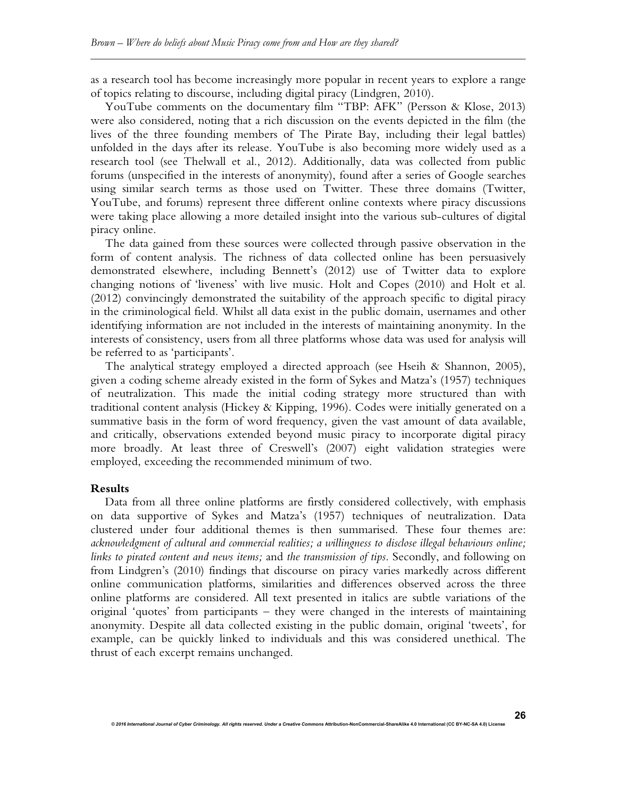as a research tool has become increasingly more popular in recent years to explore a range of topics relating to discourse, including digital piracy (Lindgren, 2010).

YouTube comments on the documentary film "TBP: AFK" (Persson & Klose, 2013) were also considered, noting that a rich discussion on the events depicted in the film (the lives of the three founding members of The Pirate Bay, including their legal battles) unfolded in the days after its release. YouTube is also becoming more widely used as a research tool (see Thelwall et al., 2012). Additionally, data was collected from public forums (unspecified in the interests of anonymity), found after a series of Google searches using similar search terms as those used on Twitter. These three domains (Twitter, YouTube, and forums) represent three different online contexts where piracy discussions were taking place allowing a more detailed insight into the various sub-cultures of digital piracy online.

The data gained from these sources were collected through passive observation in the form of content analysis. The richness of data collected online has been persuasively demonstrated elsewhere, including Bennett's (2012) use of Twitter data to explore changing notions of 'liveness' with live music. Holt and Copes (2010) and Holt et al. (2012) convincingly demonstrated the suitability of the approach specific to digital piracy in the criminological field. Whilst all data exist in the public domain, usernames and other identifying information are not included in the interests of maintaining anonymity. In the interests of consistency, users from all three platforms whose data was used for analysis will be referred to as 'participants'.

The analytical strategy employed a directed approach (see Hseih & Shannon, 2005), given a coding scheme already existed in the form of Sykes and Matza's (1957) techniques of neutralization. This made the initial coding strategy more structured than with traditional content analysis (Hickey & Kipping, 1996). Codes were initially generated on a summative basis in the form of word frequency, given the vast amount of data available, and critically, observations extended beyond music piracy to incorporate digital piracy more broadly. At least three of Creswell's (2007) eight validation strategies were employed, exceeding the recommended minimum of two.

#### **Results**

Data from all three online platforms are firstly considered collectively, with emphasis on data supportive of Sykes and Matza's (1957) techniques of neutralization. Data clustered under four additional themes is then summarised. These four themes are: *acknowledgment of cultural and commercial realities; a willingness to disclose illegal behaviours online; links to pirated content and news items;* and *the transmission of tips*. Secondly, and following on from Lindgren's (2010) findings that discourse on piracy varies markedly across different online communication platforms, similarities and differences observed across the three online platforms are considered. All text presented in italics are subtle variations of the original 'quotes' from participants – they were changed in the interests of maintaining anonymity. Despite all data collected existing in the public domain, original 'tweets', for example, can be quickly linked to individuals and this was considered unethical. The thrust of each excerpt remains unchanged.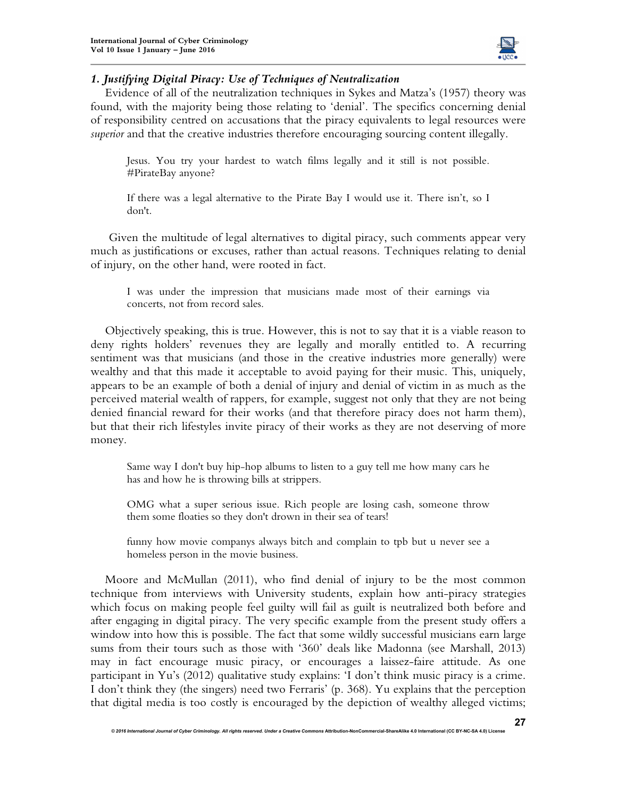

## *1. Justifying Digital Piracy: Use of Techniques of Neutralization*

Evidence of all of the neutralization techniques in Sykes and Matza's (1957) theory was found, with the majority being those relating to 'denial'. The specifics concerning denial of responsibility centred on accusations that the piracy equivalents to legal resources were *superior* and that the creative industries therefore encouraging sourcing content illegally.

Jesus. You try your hardest to watch films legally and it still is not possible. #PirateBay anyone?

If there was a legal alternative to the Pirate Bay I would use it. There isn't, so I don't.

Given the multitude of legal alternatives to digital piracy, such comments appear very much as justifications or excuses, rather than actual reasons. Techniques relating to denial of injury, on the other hand, were rooted in fact.

I was under the impression that musicians made most of their earnings via concerts, not from record sales.

Objectively speaking, this is true. However, this is not to say that it is a viable reason to deny rights holders' revenues they are legally and morally entitled to. A recurring sentiment was that musicians (and those in the creative industries more generally) were wealthy and that this made it acceptable to avoid paying for their music. This, uniquely, appears to be an example of both a denial of injury and denial of victim in as much as the perceived material wealth of rappers, for example, suggest not only that they are not being denied financial reward for their works (and that therefore piracy does not harm them), but that their rich lifestyles invite piracy of their works as they are not deserving of more money.

Same way I don't buy hip-hop albums to listen to a guy tell me how many cars he has and how he is throwing bills at strippers.

OMG what a super serious issue. Rich people are losing cash, someone throw them some floaties so they don't drown in their sea of tears!

funny how movie companys always bitch and complain to tpb but u never see a homeless person in the movie business.

Moore and McMullan (2011), who find denial of injury to be the most common technique from interviews with University students, explain how anti-piracy strategies which focus on making people feel guilty will fail as guilt is neutralized both before and after engaging in digital piracy. The very specific example from the present study offers a window into how this is possible. The fact that some wildly successful musicians earn large sums from their tours such as those with '360' deals like Madonna (see Marshall, 2013) may in fact encourage music piracy, or encourages a laissez-faire attitude. As one participant in Yu's (2012) qualitative study explains: 'I don't think music piracy is a crime. I don't think they (the singers) need two Ferraris' (p. 368). Yu explains that the perception that digital media is too costly is encouraged by the depiction of wealthy alleged victims;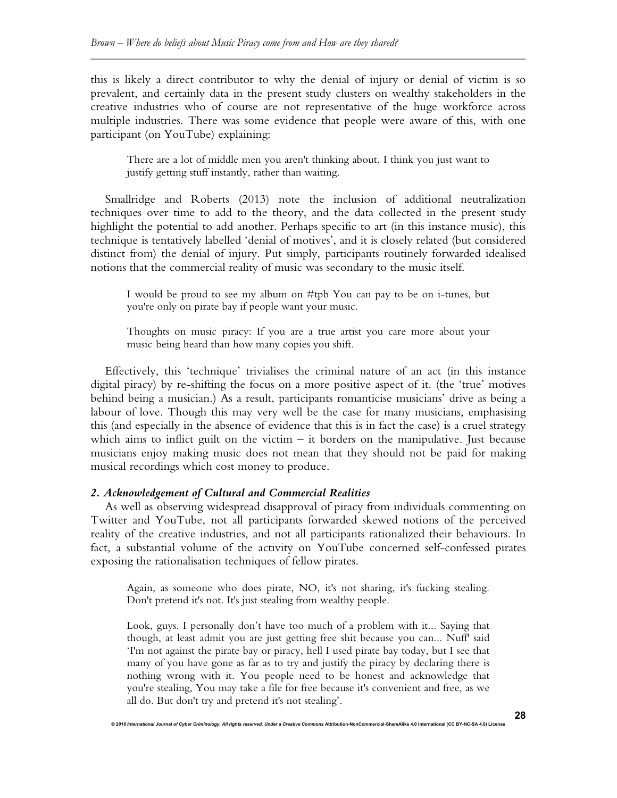this is likely a direct contributor to why the denial of injury or denial of victim is so prevalent, and certainly data in the present study clusters on wealthy stakeholders in the creative industries who of course are not representative of the huge workforce across multiple industries. There was some evidence that people were aware of this, with one participant (on YouTube) explaining:

There are a lot of middle men you aren't thinking about. I think you just want to justify getting stuff instantly, rather than waiting.

Smallridge and Roberts (2013) note the inclusion of additional neutralization techniques over time to add to the theory, and the data collected in the present study highlight the potential to add another. Perhaps specific to art (in this instance music), this technique is tentatively labelled 'denial of motives', and it is closely related (but considered distinct from) the denial of injury. Put simply, participants routinely forwarded idealised notions that the commercial reality of music was secondary to the music itself.

I would be proud to see my album on #tpb You can pay to be on i-tunes, but you're only on pirate bay if people want your music.

Thoughts on music piracy: If you are a true artist you care more about your music being heard than how many copies you shift.

Effectively, this 'technique' trivialises the criminal nature of an act (in this instance digital piracy) by re-shifting the focus on a more positive aspect of it. (the 'true' motives behind being a musician.) As a result, participants romanticise musicians' drive as being a labour of love. Though this may very well be the case for many musicians, emphasising this (and especially in the absence of evidence that this is in fact the case) is a cruel strategy which aims to inflict guilt on the victim  $-$  it borders on the manipulative. Just because musicians enjoy making music does not mean that they should not be paid for making musical recordings which cost money to produce.

## *2. Acknowledgement of Cultural and Commercial Realities*

As well as observing widespread disapproval of piracy from individuals commenting on Twitter and YouTube, not all participants forwarded skewed notions of the perceived reality of the creative industries, and not all participants rationalized their behaviours. In fact, a substantial volume of the activity on YouTube concerned self-confessed pirates exposing the rationalisation techniques of fellow pirates.

Again, as someone who does pirate, NO, it's not sharing, it's fucking stealing. Don't pretend it's not. It's just stealing from wealthy people.

Look, guys. I personally don't have too much of a problem with it... Saying that though, at least admit you are just getting free shit because you can... Nuff' said 'I'm not against the pirate bay or piracy, hell I used pirate bay today, but I see that many of you have gone as far as to try and justify the piracy by declaring there is nothing wrong with it. You people need to be honest and acknowledge that you're stealing, You may take a file for free because it's convenient and free, as we all do. But don't try and pretend it's not stealing'.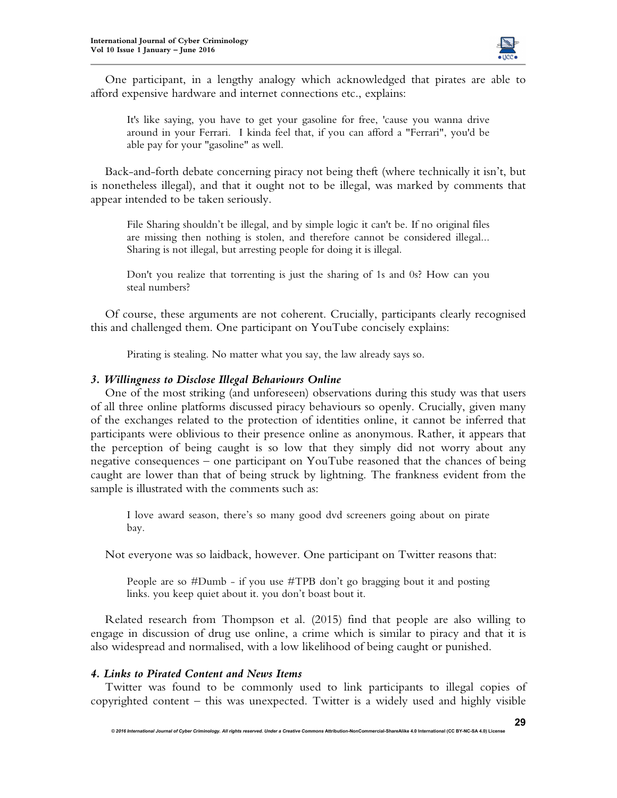

One participant, in a lengthy analogy which acknowledged that pirates are able to afford expensive hardware and internet connections etc., explains:

It's like saying, you have to get your gasoline for free, 'cause you wanna drive around in your Ferrari. I kinda feel that, if you can afford a "Ferrari", you'd be able pay for your "gasoline" as well.

Back-and-forth debate concerning piracy not being theft (where technically it isn't, but is nonetheless illegal), and that it ought not to be illegal, was marked by comments that appear intended to be taken seriously.

File Sharing shouldn't be illegal, and by simple logic it can't be. If no original files are missing then nothing is stolen, and therefore cannot be considered illegal... Sharing is not illegal, but arresting people for doing it is illegal.

Don't you realize that torrenting is just the sharing of 1s and 0s? How can you steal numbers?

Of course, these arguments are not coherent. Crucially, participants clearly recognised this and challenged them. One participant on YouTube concisely explains:

Pirating is stealing. No matter what you say, the law already says so.

## *3. Willingness to Disclose Illegal Behaviours Online*

One of the most striking (and unforeseen) observations during this study was that users of all three online platforms discussed piracy behaviours so openly. Crucially, given many of the exchanges related to the protection of identities online, it cannot be inferred that participants were oblivious to their presence online as anonymous. Rather, it appears that the perception of being caught is so low that they simply did not worry about any negative consequences – one participant on YouTube reasoned that the chances of being caught are lower than that of being struck by lightning. The frankness evident from the sample is illustrated with the comments such as:

I love award season, there's so many good dvd screeners going about on pirate bay.

Not everyone was so laidback, however. One participant on Twitter reasons that:

People are so #Dumb - if you use #TPB don't go bragging bout it and posting links. you keep quiet about it. you don't boast bout it.

Related research from Thompson et al. (2015) find that people are also willing to engage in discussion of drug use online, a crime which is similar to piracy and that it is also widespread and normalised, with a low likelihood of being caught or punished.

## *4. Links to Pirated Content and News Items*

Twitter was found to be commonly used to link participants to illegal copies of copyrighted content – this was unexpected. Twitter is a widely used and highly visible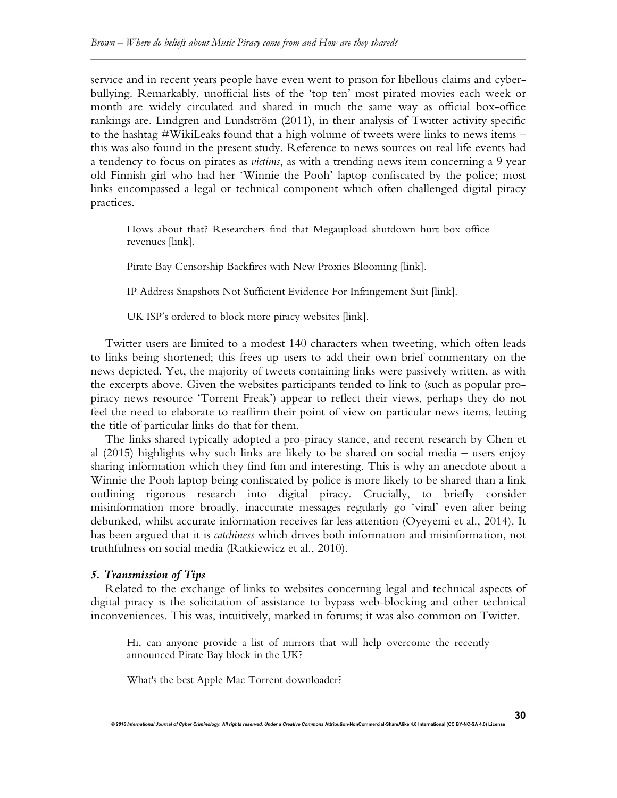service and in recent years people have even went to prison for libellous claims and cyberbullying. Remarkably, unofficial lists of the 'top ten' most pirated movies each week or month are widely circulated and shared in much the same way as official box-office rankings are. Lindgren and Lundström (2011), in their analysis of Twitter activity specific to the hashtag #WikiLeaks found that a high volume of tweets were links to news items – this was also found in the present study. Reference to news sources on real life events had a tendency to focus on pirates as *victims*, as with a trending news item concerning a 9 year old Finnish girl who had her 'Winnie the Pooh' laptop confiscated by the police; most links encompassed a legal or technical component which often challenged digital piracy practices.

Hows about that? Researchers find that Megaupload shutdown hurt box office revenues [link].

Pirate Bay Censorship Backfires with New Proxies Blooming [link].

IP Address Snapshots Not Sufficient Evidence For Infringement Suit [link].

UK ISP's ordered to block more piracy websites [link].

Twitter users are limited to a modest 140 characters when tweeting, which often leads to links being shortened; this frees up users to add their own brief commentary on the news depicted. Yet, the majority of tweets containing links were passively written, as with the excerpts above. Given the websites participants tended to link to (such as popular propiracy news resource 'Torrent Freak') appear to reflect their views, perhaps they do not feel the need to elaborate to reaffirm their point of view on particular news items, letting the title of particular links do that for them.

The links shared typically adopted a pro-piracy stance, and recent research by Chen et al (2015) highlights why such links are likely to be shared on social media – users enjoy sharing information which they find fun and interesting. This is why an anecdote about a Winnie the Pooh laptop being confiscated by police is more likely to be shared than a link outlining rigorous research into digital piracy. Crucially, to briefly consider misinformation more broadly, inaccurate messages regularly go 'viral' even after being debunked, whilst accurate information receives far less attention (Oyeyemi et al., 2014). It has been argued that it is *catchiness* which drives both information and misinformation, not truthfulness on social media (Ratkiewicz et al., 2010).

## *5. Transmission of Tips*

Related to the exchange of links to websites concerning legal and technical aspects of digital piracy is the solicitation of assistance to bypass web-blocking and other technical inconveniences. This was, intuitively, marked in forums; it was also common on Twitter.

Hi, can anyone provide a list of mirrors that will help overcome the recently announced Pirate Bay block in the UK?

*© 2016 International Journal of Cyber Criminology. All rights reserved. Under a Creative Commons* **Attribution-NonCommercial-ShareAlike 4.0 International (CC BY-NC-SA 4.0) License** 

What's the best Apple Mac Torrent downloader?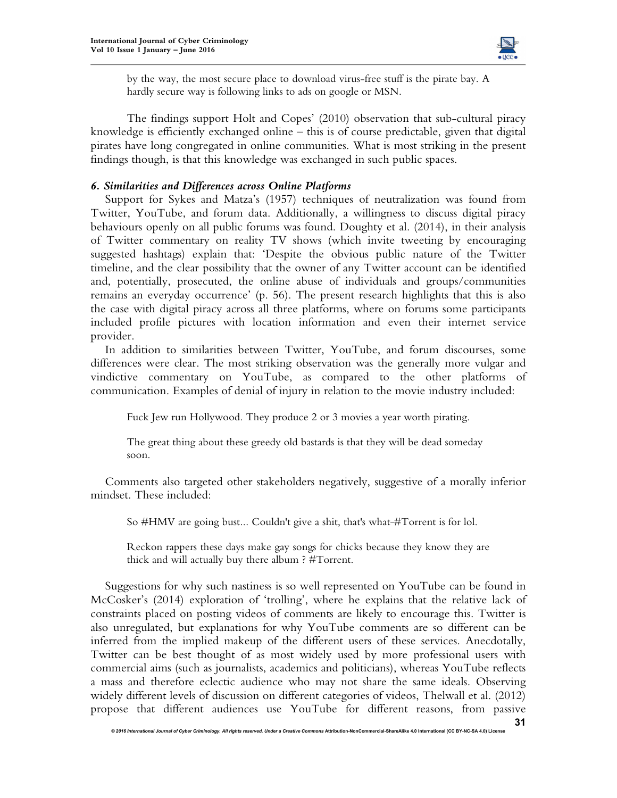

by the way, the most secure place to download virus-free stuff is the pirate bay. A hardly secure way is following links to ads on google or MSN.

The findings support Holt and Copes' (2010) observation that sub-cultural piracy knowledge is efficiently exchanged online – this is of course predictable, given that digital pirates have long congregated in online communities. What is most striking in the present findings though, is that this knowledge was exchanged in such public spaces.

## *6. Similarities and Differences across Online Platforms*

Support for Sykes and Matza's (1957) techniques of neutralization was found from Twitter, YouTube, and forum data. Additionally, a willingness to discuss digital piracy behaviours openly on all public forums was found. Doughty et al. (2014), in their analysis of Twitter commentary on reality TV shows (which invite tweeting by encouraging suggested hashtags) explain that: 'Despite the obvious public nature of the Twitter timeline, and the clear possibility that the owner of any Twitter account can be identified and, potentially, prosecuted, the online abuse of individuals and groups/communities remains an everyday occurrence' (p. 56). The present research highlights that this is also the case with digital piracy across all three platforms, where on forums some participants included profile pictures with location information and even their internet service provider.

In addition to similarities between Twitter, YouTube, and forum discourses, some differences were clear. The most striking observation was the generally more vulgar and vindictive commentary on YouTube, as compared to the other platforms of communication. Examples of denial of injury in relation to the movie industry included:

Fuck Jew run Hollywood. They produce 2 or 3 movies a year worth pirating.

The great thing about these greedy old bastards is that they will be dead someday soon.

Comments also targeted other stakeholders negatively, suggestive of a morally inferior mindset. These included:

So #HMV are going bust... Couldn't give a shit, that's what #Torrent is for lol.

Reckon rappers these days make gay songs for chicks because they know they are thick and will actually buy there album ? #Torrent.

Suggestions for why such nastiness is so well represented on YouTube can be found in McCosker's (2014) exploration of 'trolling', where he explains that the relative lack of constraints placed on posting videos of comments are likely to encourage this. Twitter is also unregulated, but explanations for why YouTube comments are so different can be inferred from the implied makeup of the different users of these services. Anecdotally, Twitter can be best thought of as most widely used by more professional users with commercial aims (such as journalists, academics and politicians), whereas YouTube reflects a mass and therefore eclectic audience who may not share the same ideals. Observing widely different levels of discussion on different categories of videos, Thelwall et al. (2012) propose that different audiences use YouTube for different reasons, from passive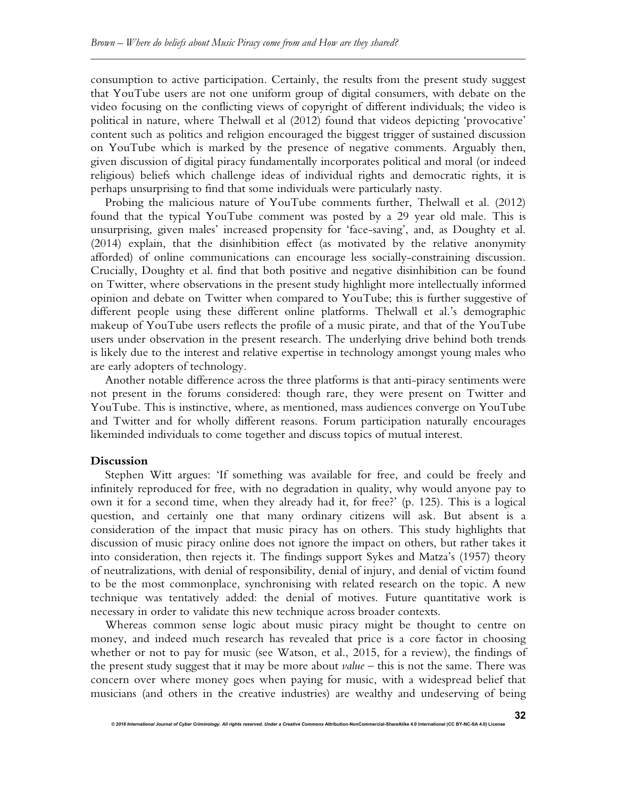consumption to active participation. Certainly, the results from the present study suggest that YouTube users are not one uniform group of digital consumers, with debate on the video focusing on the conflicting views of copyright of different individuals; the video is political in nature, where Thelwall et al (2012) found that videos depicting 'provocative' content such as politics and religion encouraged the biggest trigger of sustained discussion on YouTube which is marked by the presence of negative comments. Arguably then, given discussion of digital piracy fundamentally incorporates political and moral (or indeed religious) beliefs which challenge ideas of individual rights and democratic rights, it is perhaps unsurprising to find that some individuals were particularly nasty.

Probing the malicious nature of YouTube comments further, Thelwall et al. (2012) found that the typical YouTube comment was posted by a 29 year old male. This is unsurprising, given males' increased propensity for 'face-saving', and, as Doughty et al. (2014) explain, that the disinhibition effect (as motivated by the relative anonymity afforded) of online communications can encourage less socially-constraining discussion. Crucially, Doughty et al. find that both positive and negative disinhibition can be found on Twitter, where observations in the present study highlight more intellectually informed opinion and debate on Twitter when compared to YouTube; this is further suggestive of different people using these different online platforms. Thelwall et al.'s demographic makeup of YouTube users reflects the profile of a music pirate, and that of the YouTube users under observation in the present research. The underlying drive behind both trends is likely due to the interest and relative expertise in technology amongst young males who are early adopters of technology.

Another notable difference across the three platforms is that anti-piracy sentiments were not present in the forums considered: though rare, they were present on Twitter and YouTube. This is instinctive, where, as mentioned, mass audiences converge on YouTube and Twitter and for wholly different reasons. Forum participation naturally encourages likeminded individuals to come together and discuss topics of mutual interest.

#### **Discussion**

Stephen Witt argues: 'If something was available for free, and could be freely and infinitely reproduced for free, with no degradation in quality, why would anyone pay to own it for a second time, when they already had it, for free?' (p. 125). This is a logical question, and certainly one that many ordinary citizens will ask. But absent is a consideration of the impact that music piracy has on others. This study highlights that discussion of music piracy online does not ignore the impact on others, but rather takes it into consideration, then rejects it. The findings support Sykes and Matza's (1957) theory of neutralizations, with denial of responsibility, denial of injury, and denial of victim found to be the most commonplace, synchronising with related research on the topic. A new technique was tentatively added: the denial of motives. Future quantitative work is necessary in order to validate this new technique across broader contexts.

Whereas common sense logic about music piracy might be thought to centre on money, and indeed much research has revealed that price is a core factor in choosing whether or not to pay for music (see Watson, et al., 2015, for a review), the findings of the present study suggest that it may be more about *value* – this is not the same. There was concern over where money goes when paying for music, with a widespread belief that musicians (and others in the creative industries) are wealthy and undeserving of being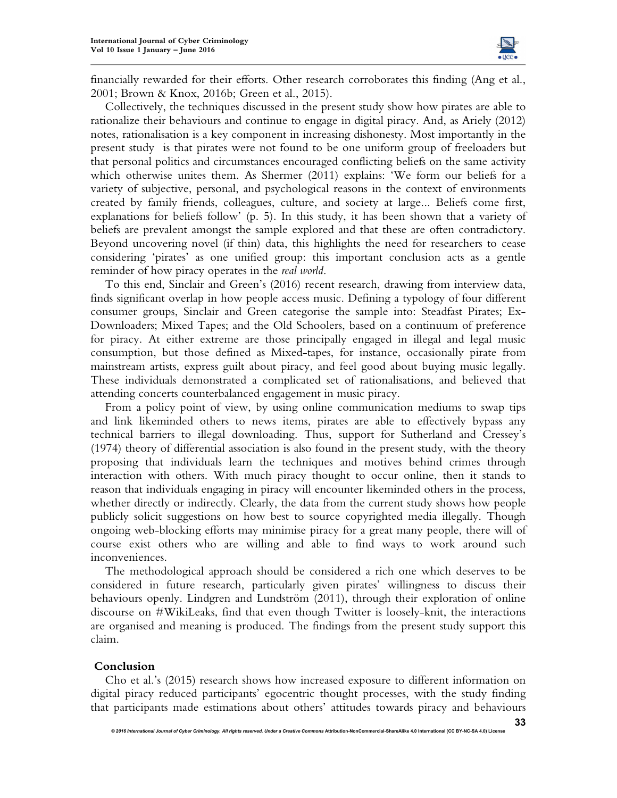

**33**

financially rewarded for their efforts. Other research corroborates this finding (Ang et al., 2001; Brown & Knox, 2016b; Green et al., 2015).

Collectively, the techniques discussed in the present study show how pirates are able to rationalize their behaviours and continue to engage in digital piracy. And, as Ariely (2012) notes, rationalisation is a key component in increasing dishonesty. Most importantly in the present study is that pirates were not found to be one uniform group of freeloaders but that personal politics and circumstances encouraged conflicting beliefs on the same activity which otherwise unites them. As Shermer (2011) explains: 'We form our beliefs for a variety of subjective, personal, and psychological reasons in the context of environments created by family friends, colleagues, culture, and society at large... Beliefs come first, explanations for beliefs follow' (p. 5). In this study, it has been shown that a variety of beliefs are prevalent amongst the sample explored and that these are often contradictory. Beyond uncovering novel (if thin) data, this highlights the need for researchers to cease considering 'pirates' as one unified group: this important conclusion acts as a gentle reminder of how piracy operates in the *real world*.

To this end, Sinclair and Green's (2016) recent research, drawing from interview data, finds significant overlap in how people access music. Defining a typology of four different consumer groups, Sinclair and Green categorise the sample into: Steadfast Pirates; Ex-Downloaders; Mixed Tapes; and the Old Schoolers, based on a continuum of preference for piracy. At either extreme are those principally engaged in illegal and legal music consumption, but those defined as Mixed-tapes, for instance, occasionally pirate from mainstream artists, express guilt about piracy, and feel good about buying music legally. These individuals demonstrated a complicated set of rationalisations, and believed that attending concerts counterbalanced engagement in music piracy.

From a policy point of view, by using online communication mediums to swap tips and link likeminded others to news items, pirates are able to effectively bypass any technical barriers to illegal downloading. Thus, support for Sutherland and Cressey's (1974) theory of differential association is also found in the present study, with the theory proposing that individuals learn the techniques and motives behind crimes through interaction with others. With much piracy thought to occur online, then it stands to reason that individuals engaging in piracy will encounter likeminded others in the process, whether directly or indirectly. Clearly, the data from the current study shows how people publicly solicit suggestions on how best to source copyrighted media illegally. Though ongoing web-blocking efforts may minimise piracy for a great many people, there will of course exist others who are willing and able to find ways to work around such inconveniences.

The methodological approach should be considered a rich one which deserves to be considered in future research, particularly given pirates' willingness to discuss their behaviours openly. Lindgren and Lundström (2011), through their exploration of online discourse on #WikiLeaks, find that even though Twitter is loosely-knit, the interactions are organised and meaning is produced. The findings from the present study support this claim.

#### **Conclusion**

Cho et al.'s (2015) research shows how increased exposure to different information on digital piracy reduced participants' egocentric thought processes, with the study finding that participants made estimations about others' attitudes towards piracy and behaviours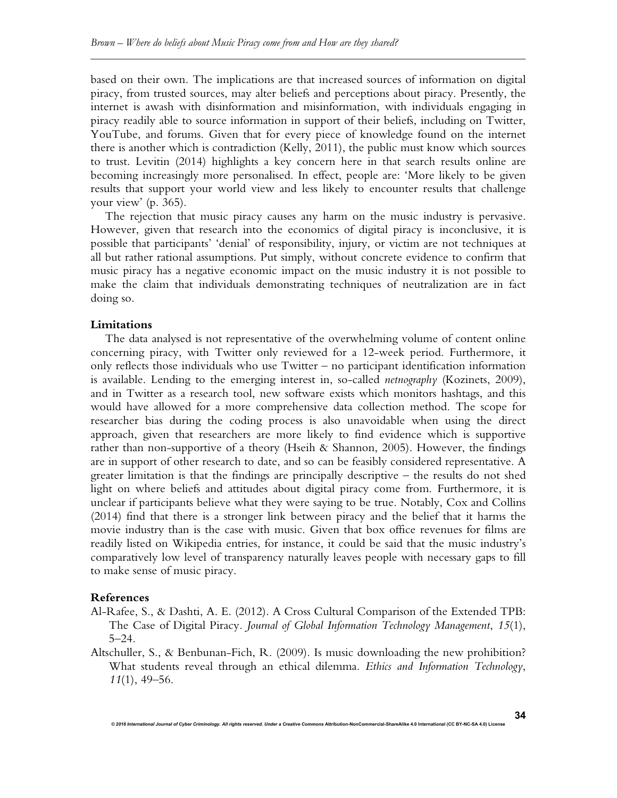based on their own. The implications are that increased sources of information on digital piracy, from trusted sources, may alter beliefs and perceptions about piracy. Presently, the internet is awash with disinformation and misinformation, with individuals engaging in piracy readily able to source information in support of their beliefs, including on Twitter, YouTube, and forums. Given that for every piece of knowledge found on the internet there is another which is contradiction (Kelly, 2011), the public must know which sources to trust. Levitin (2014) highlights a key concern here in that search results online are becoming increasingly more personalised. In effect, people are: 'More likely to be given results that support your world view and less likely to encounter results that challenge your view' (p. 365).

The rejection that music piracy causes any harm on the music industry is pervasive. However, given that research into the economics of digital piracy is inconclusive, it is possible that participants' 'denial' of responsibility, injury, or victim are not techniques at all but rather rational assumptions. Put simply, without concrete evidence to confirm that music piracy has a negative economic impact on the music industry it is not possible to make the claim that individuals demonstrating techniques of neutralization are in fact doing so.

#### **Limitations**

The data analysed is not representative of the overwhelming volume of content online concerning piracy, with Twitter only reviewed for a 12-week period. Furthermore, it only reflects those individuals who use Twitter – no participant identification information is available. Lending to the emerging interest in, so-called *netnography* (Kozinets, 2009), and in Twitter as a research tool, new software exists which monitors hashtags, and this would have allowed for a more comprehensive data collection method. The scope for researcher bias during the coding process is also unavoidable when using the direct approach, given that researchers are more likely to find evidence which is supportive rather than non-supportive of a theory (Hseih & Shannon, 2005). However, the findings are in support of other research to date, and so can be feasibly considered representative. A greater limitation is that the findings are principally descriptive – the results do not shed light on where beliefs and attitudes about digital piracy come from. Furthermore, it is unclear if participants believe what they were saying to be true. Notably, Cox and Collins (2014) find that there is a stronger link between piracy and the belief that it harms the movie industry than is the case with music. Given that box office revenues for films are readily listed on Wikipedia entries, for instance, it could be said that the music industry's comparatively low level of transparency naturally leaves people with necessary gaps to fill to make sense of music piracy.

## **References**

- Al-Rafee, S., & Dashti, A. E. (2012). A Cross Cultural Comparison of the Extended TPB: The Case of Digital Piracy*. Journal of Global Information Technology Management*, *15*(1), 5–24.
- Altschuller, S., & Benbunan-Fich, R. (2009). Is music downloading the new prohibition? What students reveal through an ethical dilemma. *Ethics and Information Technology*, *11*(1), 49–56.

*© 2016 International Journal of Cyber Criminology. All rights reserved. Under a Creative Commons* **Attribution-NonCommercial-ShareAlike 4.0 International (CC BY-NC-SA 4.0) License** 

**34**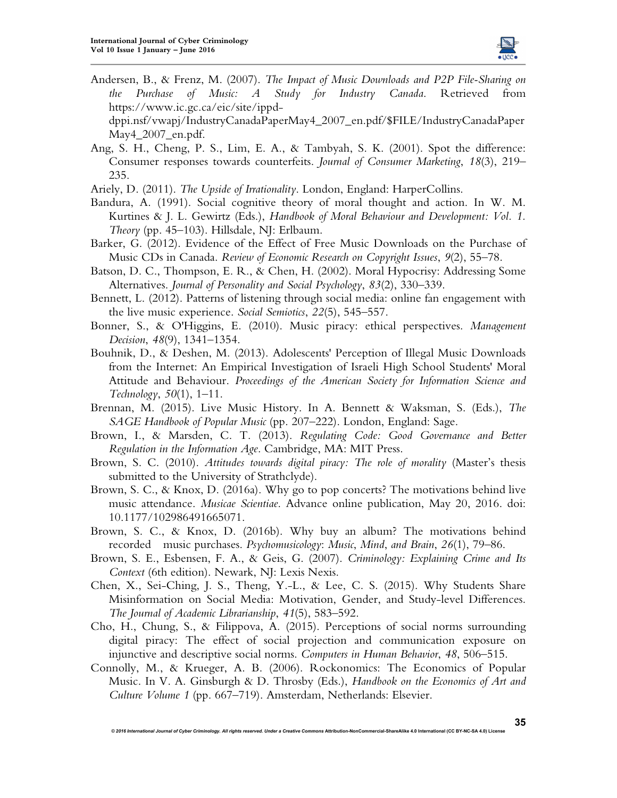

**35**

Andersen, B., & Frenz, M. (2007). *The Impact of Music Downloads and P2P File-Sharing on the Purchase of Music: A Study for Industry Canada*. Retrieved from https://www.ic.gc.ca/eic/site/ippd-

dppi.nsf/vwapj/IndustryCanadaPaperMay4\_2007\_en.pdf/\$FILE/IndustryCanadaPaper May4\_2007\_en.pdf.

Ang, S. H., Cheng, P. S., Lim, E. A., & Tambyah, S. K. (2001). Spot the difference: Consumer responses towards counterfeits. *Journal of Consumer Marketing*, *18*(3), 219– 235.

Ariely, D. (2011). *The Upside of Irrationality*. London, England: HarperCollins.

- Bandura, A. (1991). Social cognitive theory of moral thought and action. In W. M. Kurtines & J. L. Gewirtz (Eds.), *Handbook of Moral Behaviour and Development: Vol. 1. Theory* (pp. 45–103). Hillsdale, NJ: Erlbaum.
- Barker, G. (2012). Evidence of the Effect of Free Music Downloads on the Purchase of Music CDs in Canada. *Review of Economic Research on Copyright Issues*, *9*(2), 55–78.
- Batson, D. C., Thompson, E. R., & Chen, H. (2002). Moral Hypocrisy: Addressing Some Alternatives. *Journal of Personality and Social Psychology*, *83*(2), 330–339.
- Bennett, L. (2012). Patterns of listening through social media: online fan engagement with the live music experience. *Social Semiotics*, *22*(5), 545–557.
- Bonner, S., & O'Higgins, E. (2010). Music piracy: ethical perspectives. *Management Decision*, *48*(9), 1341–1354.
- Bouhnik, D., & Deshen, M. (2013). Adolescents' Perception of Illegal Music Downloads from the Internet: An Empirical Investigation of Israeli High School Students' Moral Attitude and Behaviour. *Proceedings of the American Society for Information Science and Technology*, *50*(1), 1–11.
- Brennan, M. (2015). Live Music History. In A. Bennett & Waksman, S. (Eds.), *The SAGE Handbook of Popular Music* (pp. 207–222). London, England: Sage.
- Brown, I., & Marsden, C. T. (2013). *Regulating Code: Good Governance and Better Regulation in the Information Age*. Cambridge, MA: MIT Press.
- Brown, S. C. (2010). *Attitudes towards digital piracy: The role of morality* (Master's thesis submitted to the University of Strathclyde).
- Brown, S. C., & Knox, D. (2016a). Why go to pop concerts? The motivations behind live music attendance. *Musicae Scientiae*. Advance online publication, May 20, 2016. doi: 10.1177/102986491665071.
- Brown, S. C., & Knox, D. (2016b). Why buy an album? The motivations behind recorded music purchases. *Psychomusicology*: *Music*, *Mind*, *and Brain*, *26*(1), 79–86.
- Brown, S. E., Esbensen, F. A., & Geis, G. (2007). *Criminology: Explaining Crime and Its Context* (6th edition). Newark, NJ: Lexis Nexis.
- Chen, X., Sei-Ching, J. S., Theng, Y.-L., & Lee, C. S. (2015). Why Students Share Misinformation on Social Media: Motivation, Gender, and Study-level Differences. *The Journal of Academic Librarianship*, *41*(5), 583–592.
- Cho, H., Chung, S., & Filippova, A. (2015). Perceptions of social norms surrounding digital piracy: The effect of social projection and communication exposure on injunctive and descriptive social norms. *Computers in Human Behavior*, *48*, 506–515.
- Connolly, M., & Krueger, A. B. (2006). Rockonomics: The Economics of Popular Music. In V. A. Ginsburgh & D. Throsby (Eds.), *Handbook on the Economics of Art and Culture Volume 1* (pp. 667–719). Amsterdam, Netherlands: Elsevier.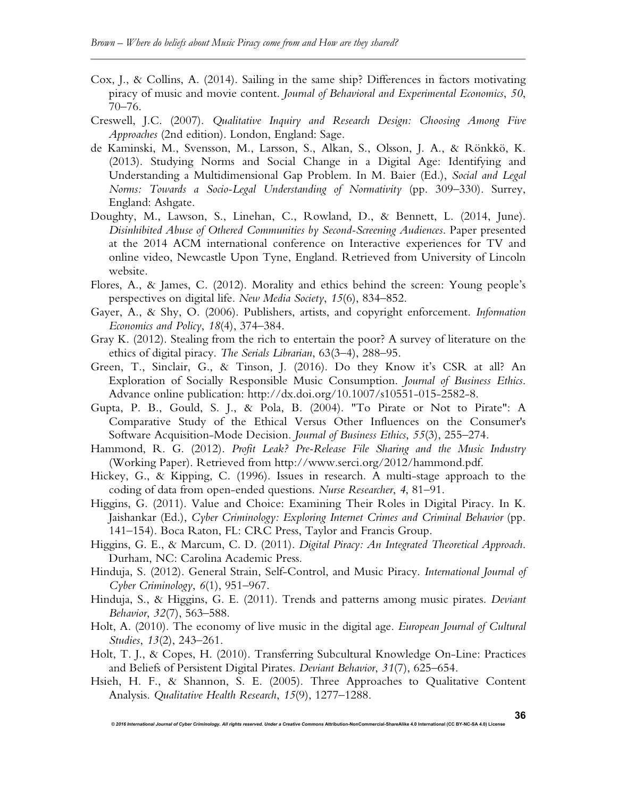- Cox, J., & Collins, A. (2014). Sailing in the same ship? Differences in factors motivating piracy of music and movie content. *Journal of Behavioral and Experimental Economics*, *50*, 70–76.
- Creswell, J.C. (2007). *Qualitative Inquiry and Research Design: Choosing Among Five Approaches* (2nd edition). London, England: Sage.
- de Kaminski, M., Svensson, M., Larsson, S., Alkan, S., Olsson, J. A., & Rönkkö, K. (2013). Studying Norms and Social Change in a Digital Age: Identifying and Understanding a Multidimensional Gap Problem. In M. Baier (Ed.), *Social and Legal Norms: Towards a Socio-Legal Understanding of Normativity* (pp. 309–330). Surrey, England: Ashgate.
- Doughty, M., Lawson, S., Linehan, C., Rowland, D., & Bennett, L. (2014, June). *Disinhibited Abuse of Othered Communities by Second-Screening Audiences*. Paper presented at the 2014 ACM international conference on Interactive experiences for TV and online video, Newcastle Upon Tyne, England. Retrieved from University of Lincoln website.
- Flores, A., & James, C. (2012). Morality and ethics behind the screen: Young people's perspectives on digital life. *New Media Society*, *15*(6), 834–852.
- Gayer, A., & Shy, O. (2006). Publishers, artists, and copyright enforcement. *Information Economics and Policy*, *18*(4), 374–384.
- Gray K. (2012). Stealing from the rich to entertain the poor? A survey of literature on the ethics of digital piracy. *The Serials Librarian*, 63(3–4), 288–95.
- Green, T., Sinclair, G., & Tinson, J. (2016). Do they Know it's CSR at all? An Exploration of Socially Responsible Music Consumption. *Journal of Business Ethics*. Advance online publication: http://dx.doi.org/10.1007/s10551-015-2582-8.
- Gupta, P. B., Gould, S. J., & Pola, B. (2004). "To Pirate or Not to Pirate": A Comparative Study of the Ethical Versus Other Influences on the Consumer's Software Acquisition-Mode Decision. *Journal of Business Ethics*, *55*(3), 255–274.
- Hammond, R. G. (2012). *Profit Leak? Pre-Release File Sharing and the Music Industry* (Working Paper). Retrieved from http://www.serci.org/2012/hammond.pdf.
- Hickey, G., & Kipping, C. (1996). Issues in research. A multi-stage approach to the coding of data from open-ended questions. *Nurse Researcher*, *4*, 81–91.
- Higgins, G. (2011). Value and Choice: Examining Their Roles in Digital Piracy. In K. Jaishankar (Ed.), *Cyber Criminology: Exploring Internet Crimes and Criminal Behavior* (pp. 141–154). Boca Raton, FL: CRC Press, Taylor and Francis Group.
- Higgins, G. E., & Marcum, C. D. (2011). *Digital Piracy: An Integrated Theoretical Approach*. Durham, NC: Carolina Academic Press.
- Hinduja, S. (2012). General Strain, Self-Control, and Music Piracy. *International Journal of Cyber Criminology*, *6*(1), 951–967.
- Hinduja, S., & Higgins, G. E. (2011). Trends and patterns among music pirates. *Deviant Behavior*, *32*(7), 563–588.
- Holt, A. (2010). The economy of live music in the digital age. *European Journal of Cultural Studies*, *13*(2), 243–261.
- Holt, T. J., & Copes, H. (2010). Transferring Subcultural Knowledge On-Line: Practices and Beliefs of Persistent Digital Pirates. *Deviant Behavior*, *31*(7), 625–654.
- Hsieh, H. F., & Shannon, S. E. (2005). Three Approaches to Qualitative Content Analysis. *Qualitative Health Research*, *15*(9), 1277–1288.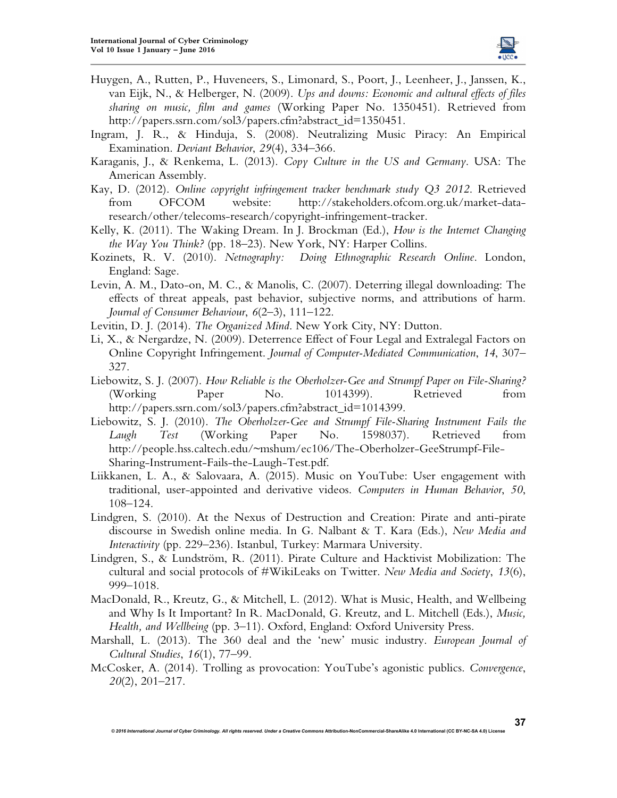

- Huygen, A., Rutten, P., Huveneers, S., Limonard, S., Poort, J., Leenheer, J., Janssen, K., van Eijk, N., & Helberger, N. (2009). *Ups and downs: Economic and cultural effects of files sharing on music, film and games* (Working Paper No. 1350451). Retrieved from http://papers.ssrn.com/sol3/papers.cfm?abstract\_id=1350451.
- Ingram, J. R., & Hinduja, S. (2008). Neutralizing Music Piracy: An Empirical Examination. *Deviant Behavior*, *29*(4), 334–366.
- Karaganis, J., & Renkema, L. (2013). *Copy Culture in the US and Germany*. USA: The American Assembly.
- Kay, D. (2012). *Online copyright infringement tracker benchmark study Q3 2012*. Retrieved from OFCOM website: http://stakeholders.ofcom.org.uk/market-dataresearch/other/telecoms-research/copyright-infringement-tracker.
- Kelly, K. (2011). The Waking Dream. In J. Brockman (Ed.), *How is the Internet Changing the Way You Think?* (pp. 18–23). New York, NY: Harper Collins.
- Kozinets, R. V. (2010). *Netnography: Doing Ethnographic Research Online*. London, England: Sage.
- Levin, A. M., Dato-on, M. C., & Manolis, C. (2007). Deterring illegal downloading: The effects of threat appeals, past behavior, subjective norms, and attributions of harm. *Journal of Consumer Behaviour*, *6*(2–3), 111–122.
- Levitin, D. J. (2014). *The Organized Mind*. New York City, NY: Dutton.
- Li, X., & Nergardze, N. (2009). Deterrence Effect of Four Legal and Extralegal Factors on Online Copyright Infringement. *Journal of Computer-Mediated Communication*, *14*, 307– 327.
- Liebowitz, S. J. (2007). *How Reliable is the Oberholzer-Gee and Strumpf Paper on File-Sharing?* (Working Paper No. 1014399). Retrieved from http://papers.ssrn.com/sol3/papers.cfm?abstract\_id=1014399.
- Liebowitz, S. J. (2010). *The Oberholzer-Gee and Strumpf File-Sharing Instrument Fails the Laugh Test* (Working Paper No. 1598037). Retrieved from http://people.hss.caltech.edu/~mshum/ec106/The-Oberholzer-GeeStrumpf-File-Sharing-Instrument-Fails-the-Laugh-Test.pdf.
- Liikkanen, L. A., & Salovaara, A. (2015). Music on YouTube: User engagement with traditional, user-appointed and derivative videos. *Computers in Human Behavior*, *50*, 108–124.
- Lindgren, S. (2010). At the Nexus of Destruction and Creation: Pirate and anti-pirate discourse in Swedish online media. In G. Nalbant & T. Kara (Eds.), *New Media and Interactivity* (pp. 229–236). Istanbul, Turkey: Marmara University.
- Lindgren, S., & Lundström, R. (2011). Pirate Culture and Hacktivist Mobilization: The cultural and social protocols of #WikiLeaks on Twitter. *New Media and Society*, *13*(6), 999–1018.
- MacDonald, R., Kreutz, G., & Mitchell, L. (2012). What is Music, Health, and Wellbeing and Why Is It Important? In R. MacDonald, G. Kreutz, and L. Mitchell (Eds.), *Music, Health, and Wellbeing* (pp. 3–11). Oxford, England: Oxford University Press.
- Marshall, L. (2013). The 360 deal and the 'new' music industry. *European Journal of Cultural Studies*, *16*(1), 77–99.
- McCosker, A. (2014). Trolling as provocation: YouTube's agonistic publics. *Convergence*, *20*(2), 201–217.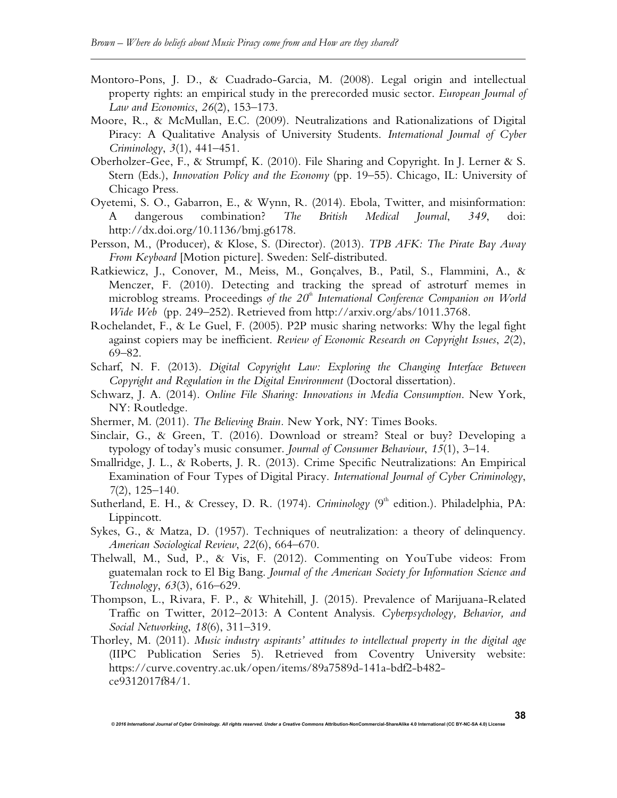- Montoro-Pons, J. D., & Cuadrado-Garcia, M. (2008). Legal origin and intellectual property rights: an empirical study in the prerecorded music sector. *European Journal of Law and Economics*, *26*(2), 153–173.
- Moore, R., & McMullan, E.C. (2009). Neutralizations and Rationalizations of Digital Piracy: A Qualitative Analysis of University Students. *International Journal of Cyber Criminology*, *3*(1), 441–451.
- Oberholzer-Gee, F., & Strumpf, K. (2010). File Sharing and Copyright. In J. Lerner & S. Stern (Eds.), *Innovation Policy and the Economy* (pp. 19–55). Chicago, IL: University of Chicago Press.
- Oyetemi, S. O., Gabarron, E., & Wynn, R. (2014). Ebola, Twitter, and misinformation: A dangerous combination? *The British Medical Journal*, *349*, doi: http://dx.doi.org/10.1136/bmj.g6178.
- Persson, M., (Producer), & Klose, S. (Director). (2013). *TPB AFK: The Pirate Bay Away From Keyboard* [Motion picture]. Sweden: Self-distributed.
- Ratkiewicz, J., Conover, M., Meiss, M., Gonçalves, B., Patil, S., Flammini, A., & Menczer, F. (2010). Detecting and tracking the spread of astroturf memes in microblog streams. Proceedings of the 20<sup>th</sup> International Conference Companion on World *Wide Web* (pp. 249–252). Retrieved from http://arxiv.org/abs/1011.3768.
- Rochelandet, F., & Le Guel, F. (2005). P2P music sharing networks: Why the legal fight against copiers may be inefficient. *Review of Economic Research on Copyright Issues*, *2*(2), 69–82.
- Scharf, N. F. (2013). *Digital Copyright Law: Exploring the Changing Interface Between Copyright and Regulation in the Digital Environment* (Doctoral dissertation).
- Schwarz, J. A. (2014). *Online File Sharing: Innovations in Media Consumption*. New York, NY: Routledge.
- Shermer, M. (2011). *The Believing Brain.* New York, NY: Times Books.
- Sinclair, G., & Green, T. (2016). Download or stream? Steal or buy? Developing a typology of today's music consumer. *Journal of Consumer Behaviour*, *15*(1), 3–14.
- Smallridge, J. L., & Roberts, J. R. (2013). Crime Specific Neutralizations: An Empirical Examination of Four Types of Digital Piracy. *International Journal of Cyber Criminology*, *7*(2), 125–140.
- Sutherland, E. H., & Cressey, D. R. (1974). *Criminology* (9<sup>th</sup> edition.). Philadelphia, PA: Lippincott.
- Sykes, G., & Matza, D. (1957). Techniques of neutralization: a theory of delinquency. *American Sociological Review*, *22*(6), 664–670.
- Thelwall, M., Sud, P., & Vis, F. (2012). Commenting on YouTube videos: From guatemalan rock to El Big Bang. *Journal of the American Society for Information Science and Technology*, *63*(3), 616–629.
- Thompson, L., Rivara, F. P., & Whitehill, J. (2015). Prevalence of Marijuana-Related Traffic on Twitter, 2012–2013: A Content Analysis. *Cyberpsychology, Behavior, and Social Networking*, *18*(6), 311–319.
- Thorley, M. (2011). *Music industry aspirants' attitudes to intellectual property in the digital age* (IIPC Publication Series 5). Retrieved from Coventry University website: https://curve.coventry.ac.uk/open/items/89a7589d-141a-bdf2-b482 ce9312017f84/1.

*© 2016 International Journal of Cyber Criminology. All rights reserved. Under a Creative Commons* **Attribution-NonCommercial-ShareAlike 4.0 International (CC BY-NC-SA 4.0) License** 

**38**